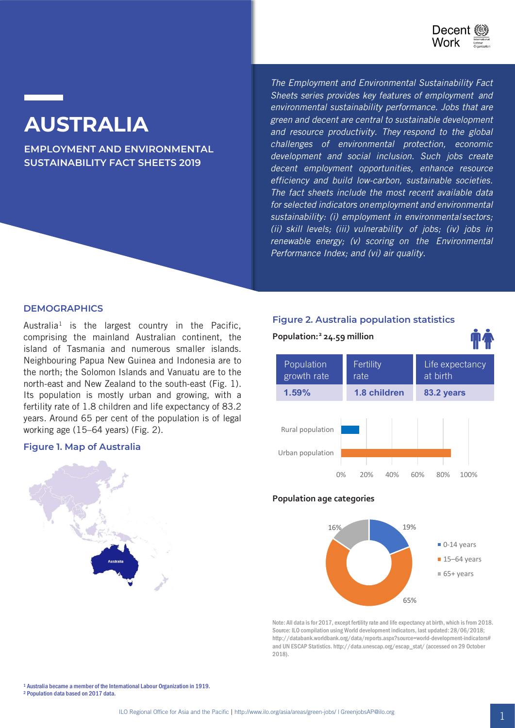

# **AUSTRALIA**

**EMPLOYMENT AND ENVIRONMENTAL SUSTAINABILITY FACT SHEETS 2019**

*The Employment and Environmental Sustainability Fact Sheets series provides key features of employment and environmental sustainability performance. Jobs that are green and decent are central to sustainable development and resource productivity. They respond to the global challenges of environmental protection, economic development and social inclusion. Such jobs create decent employment opportunities, enhance resource efficiency and build low-carbon, sustainable societies. The fact sheets include the most recent available data for selected indicators on employment and environmental sustainability: (i) employment in environmental sectors; (ii) skill levels; (iii) vulnerability of jobs; (iv) jobs in renewable energy; (v) scoring on the Environmental Performance Index; and (vi) air quality.*

#### **DEMOGRAPHICS**

Australia<sup>1</sup> is the largest country in the Pacific, comprising the mainland Australian continent, the island of Tasmania and numerous smaller islands. Neighbouring Papua New Guinea and Indonesia are to the north; the Solomon Islands and Vanuatu are to the north-east and New Zealand to the south-east (Fig. 1). Its population is mostly urban and growing, with a fertility rate of 1.8 children and life expectancy of 83.2 years. Around 65 per cent of the population is of legal working age (15–64 years) (Fig. 2).

#### **Figure 1. Map of Australia**



# **Figure 2. Australia population statistics**



## **Population age categories**



Note: All data is for 2017, except fertility rate and life expectancy at birth, which is from 2018. Source: ILO compilation using World development indicators, last updated: 28/06/2018; http://databank.worldbank.org/data/reports.aspx?source=world-development-indicators# and UN ESCAP Statistics. http://data.unescap.org/escap\_stat/ (accessed on 29 October 2018).

<sup>1</sup> Australia became a member of the International Labour Organization in 1919. 2 Population data based on 2017 data.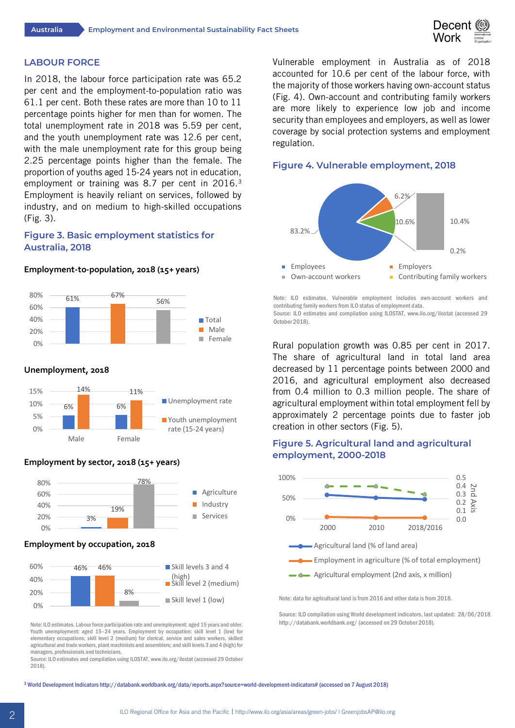

#### **LABOUR FORCE**

In 2018, the labour force participation rate was 65.2 per cent and the employment-to-population ratio was 61.1 per cent. Both these rates are more than 10 to 11 percentage points higher for men than for women. The total unemployment rate in 2018 was 5.59 per cent, and the youth unemployment rate was 12.6 per cent, with the male unemployment rate for this group being 2.25 percentage points higher than the female. The proportion of youths aged 15-24 years not in education, employment or training was 8.7 per cent in 2016.<sup>3</sup> Employment is heavily reliant on services, followed by industry, and on medium to high-skilled occupations (Fig. 3).

# **Figure 3. Basic employment statistics for Australia, 2018**

#### **Employment-to-population, 2018 (15+ years)**



#### **Unemployment, 2018**



#### **Employment by sector, 2018 (15+ years)**



#### **Employment by occupation, 2018**



Note: ILO estimates. Labour force participation rate and unemployment: aged 15 years and older. Youth unemployment: aged 15–24 years. Employment by occupation: skill level 1 (low) for elementary occupations; skill level 2 (medium) for clerical, service and sales workers, skilled agricultural and trade workers, plant machinists and assemblers; and skill levels 3 and 4 (high) for managers, professionals and technicians.

Source: ILO estimates and compilation using ILOSTAT, www.ilo.org/ilostat (accessed 29 October 2018).

Vulnerable employment in Australia as of 2018 accounted for 10.6 per cent of the labour force, with the majority of those workers having own-account status (Fig. 4). Own-account and contributing family workers are more likely to experience low job and income security than employees and employers, as well as lower coverage by social protection systems and employment regulation.

## **Figure 4. Vulnerable employment, 2018**



Note: ILO estimates. Vulnerable employment includes own-account workers and contributing family workers from ILO status of employment data. Source: ILO estimates and compilation using ILOSTAT, www.ilo.org/ilostat (accessed 29 October 2018).

Rural population growth was 0.85 per cent in 2017. The share of agricultural land in total land area decreased by 11 percentage points between 2000 and 2016, and agricultural employment also decreased from 0.4 million to 0.3 million people. The share of agricultural employment within total employment fell by approximately 2 percentage points due to faster job creation in other sectors (Fig. 5).

## **Figure 5. Agricultural land and agricultural employment, 2000-2018**



Note: data for agricultural land is from 2016 and other data is from 2018.

Source: ILO compilation using World development indicators, last updated: 28/06/2018 http://databank.worldbank.org/ (accessed on 29 October 2018).

<sup>3</sup> World Development Indicators http://databank.worldbank.org/data/reports.aspx?source=world-development-indicators# (accessed on 7 August 2018)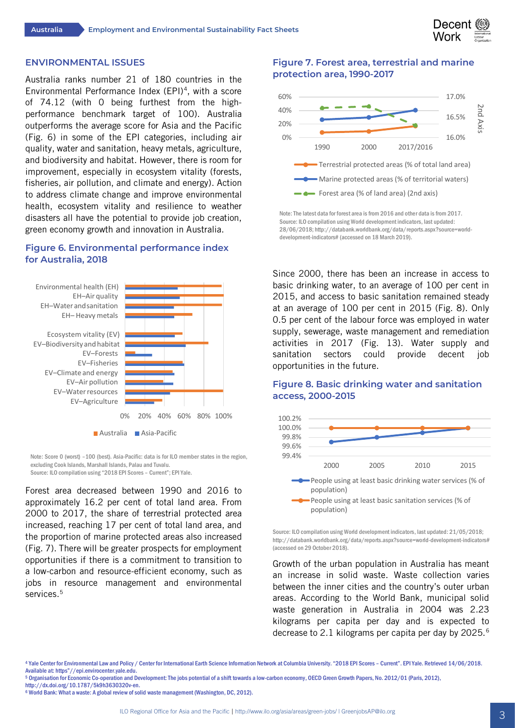

#### **ENVIRONMENTAL ISSUES**

Australia ranks number 21 of 180 countries in the Environmental Performance Index (EPI)<sup>4</sup>, with a score of 74.12 (with 0 being furthest from the highperformance benchmark target of 100). Australia outperforms the average score for Asia and the Pacific (Fig. 6) in some of the EPI categories, including air quality, water and sanitation, heavy metals, agriculture, and biodiversity and habitat. However, there is room for improvement, especially in ecosystem vitality (forests, fisheries, air pollution, and climate and energy). Action to address climate change and improve environmental health, ecosystem vitality and resilience to weather disasters all have the potential to provide job creation, green economy growth and innovation in Australia.

## **Figure 6. Environmental performance index for Australia, 2018**



Note: Score 0 (worst) –100 (best). Asia-Pacific: data is for ILO member states in the region, excluding Cook Islands, Marshall Islands, Palau and Tuvalu. Source: ILO compilation using "2018 EPI Scores – Current"; EPI Yale.

Forest area decreased between 1990 and 2016 to approximately 16.2 per cent of total land area. From 2000 to 2017, the share of terrestrial protected area increased, reaching 17 per cent of total land area, and the proportion of marine protected areas also increased (Fig. 7). There will be greater prospects for employment opportunities if there is a commitment to transition to a low-carbon and resource-efficient economy, such as jobs in resource management and environmental services.<sup>5</sup>

# **Figure 7. Forest area, terrestrial and marine protection area, 1990-2017**



Note: The latest data for forest area is from 2016 and other data is from 2017. Source: ILO compilation using World development indicators, last updated: 28/06/2018; http://databank.worldbank.org/data/reports.aspx?source=worlddevelopment-indicators# (accessed on 18 March 2019).

Since 2000, there has been an increase in access to basic drinking water, to an average of 100 per cent in 2015, and access to basic sanitation remained steady at an average of 100 per cent in 2015 (Fig. 8). Only 0.5 per cent of the labour force was employed in water supply, sewerage, waste management and remediation activities in 2017 (Fig. 13). Water supply and sanitation sectors could provide decent job opportunities in the future.

# **Figure 8. Basic drinking water and sanitation access, 2000-2015**



Source: ILO compilation using World development indicators, last updated: 21/05/2018; http://databank.worldbank.org/data/reports.aspx?source=world-development-indicators# (accessed on 29 October 2018).

Growth of the urban population in Australia has meant an increase in solid waste. Waste collection varies between the inner cities and the country's outer urban areas. According to the World Bank, municipal solid waste generation in Australia in 2004 was 2.23 kilograms per capita per day and is expected to decrease to 2.1 kilograms per capita per day by 2025.<sup>6</sup>

- 
- http://dx.doi.org/10.1787/5k9h3630320v-en. <sup>6</sup> World Bank: What a waste: A global review of solid waste management (Washington, DC, 2012).

<sup>4</sup> Yale Center for Environmental Law and Policy / Center for International Earth Science Information Network at Columbia University. "2018 EPI Scores – Current". EPI Yale. Retrieved 14/06/2018. Available at: https"//epi.envirocenter.yale.edu.<br><sup>5</sup> Organisation for Economic Co-operation and Development: The jobs potential of a shift towards a low-carbon economy, OECD Green Growth Papers, No. 2012/01 (Paris, 2012),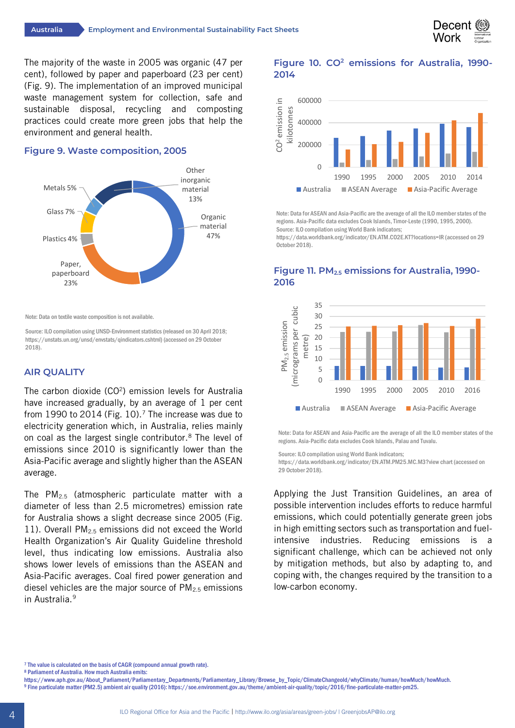

The majority of the waste in 2005 was organic (47 per cent), followed by paper and paperboard (23 per cent) (Fig. 9). The implementation of an improved municipal waste management system for collection, safe and sustainable disposal, recycling and composting practices could create more green jobs that help the environment and general health.

#### **Figure 9. Waste composition, 2005**



Note: Data on textile waste composition is not available.

Source: ILO compilation using UNSD-Environment statistics(released on 30 April 2018; https://unstats.un.org/unsd/envstats/qindicators.cshtml) (accessed on 29 October 2018).

### **AIR QUALITY**

The carbon dioxide (CO<sup>2</sup>) emission levels for Australia have increased gradually, by an average of 1 per cent from 1990 to 2014 (Fig. 10).<sup>7</sup> The increase was due to electricity generation which, in Australia, relies mainly on coal as the largest single contributor.8 The level of emissions since 2010 is significantly lower than the Asia-Pacific average and slightly higher than the ASEAN average.

The PM2.5 (atmospheric particulate matter with a diameter of less than 2.5 micrometres) emission rate for Australia shows a slight decrease since 2005 (Fig. 11). Overall PM2.5 emissions did not exceed the World Health Organization's Air Quality Guideline threshold level, thus indicating low emissions. Australia also shows lower levels of emissions than the ASEAN and Asia-Pacific averages. Coal fired power generation and diesel vehicles are the major source of  $PM<sub>2.5</sub>$  emissions in Australia.9

## **Figure 10. CO2 emissions for Australia, 1990- 2014**



Note: Data for ASEAN and Asia-Pacific are the average of all the ILO member states of the regions. Asia-Pacific data excludes Cook Islands, Timor-Leste (1990, 1995, 2000). Source: ILO compilation using World Bank indicators;

https://data.worldbank.org/indicator/EN.ATM.CO2E.KT?locations=IR (accessed on 29 October 2018).



## **Figure 11. PM2.5 emissions for Australia, 1990- 2016**

Note: Data for ASEAN and Asia-Pacific are the average of all the ILO member states of the regions. Asia-Pacific data excludes Cook Islands, Palau and Tuvalu.

Source: ILO compilation using World Bank indicators;

https://data.worldbank.org/indicator/EN.ATM.PM25.MC.M3?view chart (accessed on 29 October 2018).

Applying the Just Transition Guidelines, an area of possible intervention includes efforts to reduce harmful emissions, which could potentially generate green jobs in high emitting sectors such as transportation and fuelintensive industries. Reducing emissions is a significant challenge, which can be achieved not only by mitigation methods, but also by adapting to, and coping with, the changes required by the transition to a low-carbon economy.

- 
- 8 Parliament of Australia. How much Australia emits:<br>https://www.aph.gov.au/About\_Parliament/Parliamentary\_Departments/Parliamentary\_Library/Browse\_by\_Topic/ClimateChangeold/whyClimate/human/howMuch/howMuch. 9 Fine particulate matter (PM2.5) ambient air quality (2016): https://soe.environment.gov.au/theme/ambient-air-quality/topic/2016/fine-particulate-matter-pm25.

<sup>&</sup>lt;sup>7</sup> The value is calculated on the basis of CAGR (compound annual growth rate).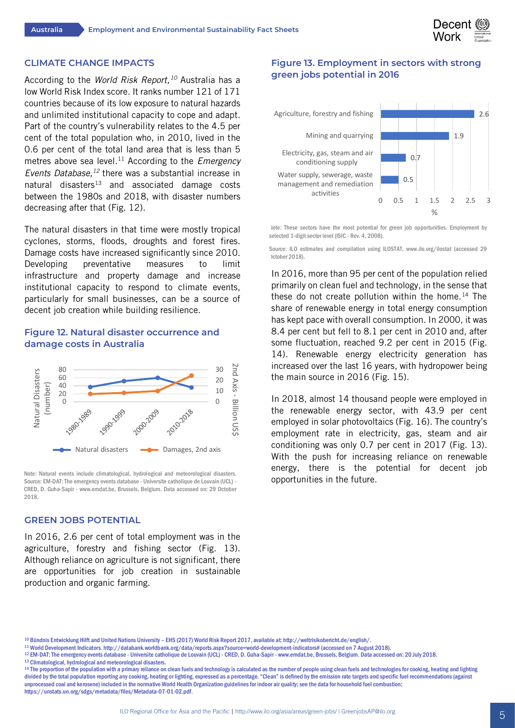

#### **CLIMATE CHANGE IMPACTS**

According to the *World Risk Report,10* Australia has a low World Risk Index score. It ranks number 121 of 171 countries because of its low exposure to natural hazards and unlimited institutional capacity to cope and adapt. Part of the country's vulnerability relates to the 4.5 per cent of the total population who, in 2010, lived in the 0.6 per cent of the total land area that is less than 5 metres above sea level.<sup>11</sup> According to the *Emergency Events Database, <sup>12</sup>* there was a substantial increase in natural disasters<sup>13</sup> and associated damage costs between the 1980s and 2018, with disaster numbers decreasing after that (Fig. 12).

The natural disasters in that time were mostly tropical cyclones, storms, floods, droughts and forest fires. Damage costs have increased significantly since 2010. Developing preventative measures to limit infrastructure and property damage and increase institutional capacity to respond to climate events, particularly for small businesses, can be a source of decent job creation while building resilience.

# **Figure 12. Natural disaster occurrence and damage costs in Australia**



Note: Natural events include climatological, hydrological and meteorological disasters. Source: EM-DAT: The emergency events database - Universite catholique de Louvain (UCL) - CRED, D. Guha-Sapir - www.emdat.be, Brussels, Belgium. Data accessed on: 29 October 2018.

#### **GREEN JOBS POTENTIAL**

In 2016, 2.6 per cent of total employment was in the agriculture, forestry and fishing sector (Fig. 13). Although reliance on agriculture is not significant, there are opportunities for job creation in sustainable production and organic farming.

# **Figure 13. Employment in sectors with strong green jobs potential in 2016**



lote: These sectors have the most potential for green job opportunities. Employment by selected 1-digit sector level (ISIC - Rev. 4, 2008).

Source: ILO estimates and compilation using ILOSTAT, www.ilo.org/ilostat (accessed 29 October 2018).

In 2016, more than 95 per cent of the population relied primarily on clean fuel and technology, in the sense that these do not create pollution within the home.<sup>14</sup> The share of renewable energy in total energy consumption has kept pace with overall consumption. In 2000, it was 8.4 per cent but fell to 8.1 per cent in 2010 and, after some fluctuation, reached 9.2 per cent in 2015 (Fig. 14). Renewable energy electricity generation has increased over the last 16 years, with hydropower being the main source in 2016 (Fig. 15).

In 2018, almost 14 thousand people were employed in the renewable energy sector, with 43.9 per cent employed in solar photovoltaics (Fig. 16). The country's employment rate in electricity, gas, steam and air conditioning was only 0.7 per cent in 2017 (Fig. 13). With the push for increasing reliance on renewable energy, there is the potential for decent job opportunities in the future.

- <sup>11</sup> World Development Indicators. http://databank.worldbank.org/data/reports.aspx?source=world-development-indicators# (accessed on 7 August 2018).
- <sup>12</sup> EM-DAT: The emergency events database Universite catholique de Louvain (UCL) CRED, D. Guha-Sapir www.emdat.be, Brussels, Belgium. Data accessed on: 20 July 2018.
- <sup>13</sup> Climatological, hydrological and meteorological disasters.
- <sup>14</sup> The proportion of the population with a primary reliance on clean fuels and technology is calculated as the number of people using clean fuels and technologies for cooking, heating and lighting divided by the total population reporting any cooking, heating or lighting, expressed as a percentage. "Clean" is defined by the emission rate targets and specific fuel recommendations (against unprocessed coal and kerosene) included in the normative World Health Organization guidelines for indoor air quality; see the data for household fuel combustion;
- https://unstats.un.org/sdgs/metadata/files/Metadata-07-01-02.pdf.

<sup>10</sup> Bündnis Entwicklung Hilft and United Nations University – EHS (2017) World Risk Report 2017, available at: http://weltrisikobericht.de/english/.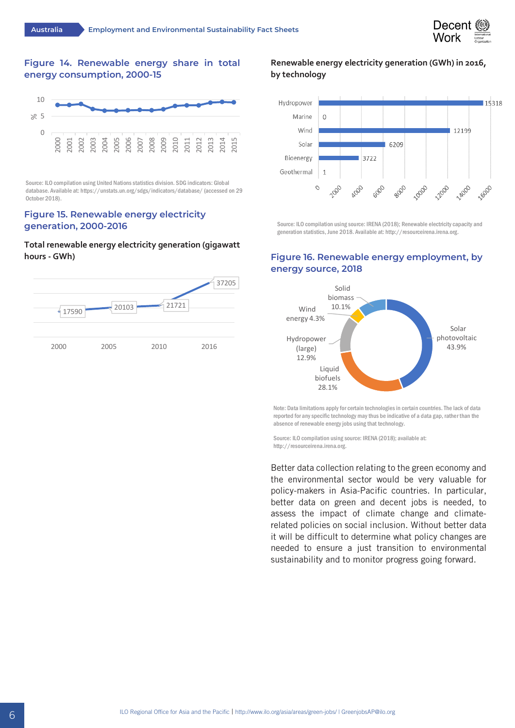

# **Figure 14. Renewable energy share in total energy consumption, 2000-15**



Source: ILO compilation using United Nations statistics division. SDG indicators: Global database. Available at: https://unstats.un.org/sdgs/indicators/database/ (accessed on 29 October 2018).

#### **Figure 15. Renewable energy electricity generation, 2000-2016**

#### **Total renewable energy electricity generation (gigawatt hours - GWh)**



# **Renewable energy electricity generation (GWh) in 2016, by technology**



Source: ILO compilation using source: IRENA (2018); Renewable electricity capacity and generation statistics, June 2018. Available at: http://resourceirena.irena.org.

# **Figure 16. Renewable energy employment, by energy source, 2018**



Note: Data limitations apply for certain technologies in certain countries. The lack of data reported for any specific technology may thus be indicative of a data gap, rather than the absence of renewable energy jobs using that technology.

Source: ILO compilation using source: IRENA (2018); available at: http://resourceirena.irena.org.

Better data collection relating to the green economy and the environmental sector would be very valuable for policy-makers in Asia-Pacific countries. In particular, better data on green and decent jobs is needed, to assess the impact of climate change and climaterelated policies on social inclusion. Without better data it will be difficult to determine what policy changes are needed to ensure a just transition to environmental sustainability and to monitor progress going forward.